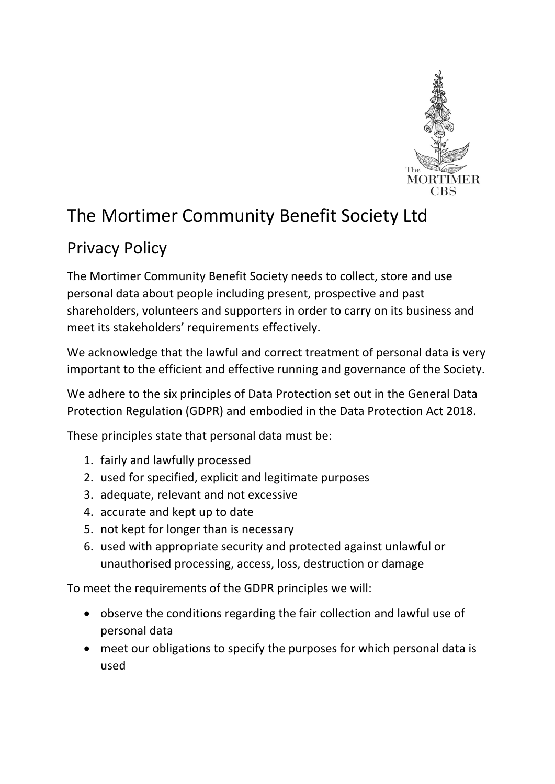

## The Mortimer Community Benefit Society Ltd

## Privacy Policy

The Mortimer Community Benefit Society needs to collect, store and use personal data about people including present, prospective and past shareholders, volunteers and supporters in order to carry on its business and meet its stakeholders' requirements effectively.

We acknowledge that the lawful and correct treatment of personal data is very important to the efficient and effective running and governance of the Society.

We adhere to the six principles of Data Protection set out in the General Data Protection Regulation (GDPR) and embodied in the Data Protection Act 2018.

These principles state that personal data must be:

- 1. fairly and lawfully processed
- 2. used for specified, explicit and legitimate purposes
- 3. adequate, relevant and not excessive
- 4. accurate and kept up to date
- 5. not kept for longer than is necessary
- 6. used with appropriate security and protected against unlawful or unauthorised processing, access, loss, destruction or damage

To meet the requirements of the GDPR principles we will:

- observe the conditions regarding the fair collection and lawful use of personal data
- meet our obligations to specify the purposes for which personal data is used